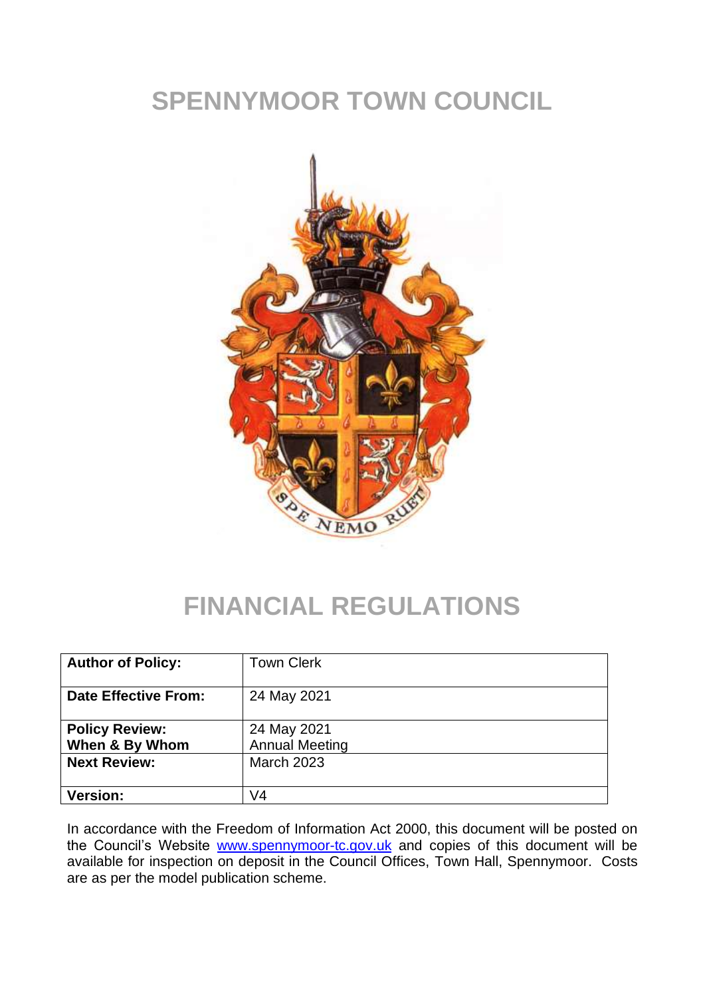# **SPENNYMOOR TOWN COUNCIL**



## **FINANCIAL REGULATIONS**

| <b>Author of Policy:</b>                | <b>Town Clerk</b>                    |
|-----------------------------------------|--------------------------------------|
| <b>Date Effective From:</b>             | 24 May 2021                          |
| <b>Policy Review:</b><br>When & By Whom | 24 May 2021<br><b>Annual Meeting</b> |
| <b>Next Review:</b>                     | <b>March 2023</b>                    |
| <b>Version:</b>                         | V4                                   |

In accordance with the Freedom of Information Act 2000, this document will be posted on the Council's Website [www.spennymoor-tc.gov.uk](http://www.spennymoor-tc.gov.uk/) and copies of this document will be available for inspection on deposit in the Council Offices, Town Hall, Spennymoor. Costs are as per the model publication scheme.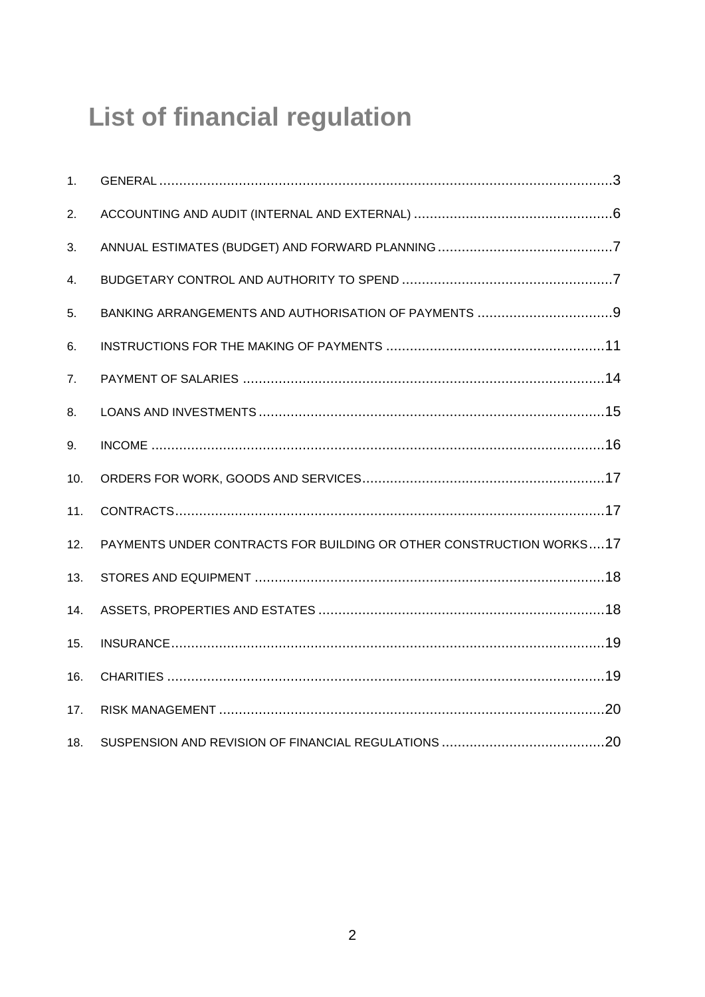# **List of financial regulation**

| 1.             |                                                                     |
|----------------|---------------------------------------------------------------------|
| 2.             |                                                                     |
| 3.             |                                                                     |
| 4.             |                                                                     |
| 5.             |                                                                     |
| 6.             |                                                                     |
| 7 <sub>1</sub> |                                                                     |
| 8.             |                                                                     |
| 9.             |                                                                     |
| 10.            |                                                                     |
| 11.            |                                                                     |
| 12.            | PAYMENTS UNDER CONTRACTS FOR BUILDING OR OTHER CONSTRUCTION WORKS17 |
| 13.            |                                                                     |
| 14.            |                                                                     |
| 15.            |                                                                     |
| 16.            |                                                                     |
| 17.            |                                                                     |
| 18.            |                                                                     |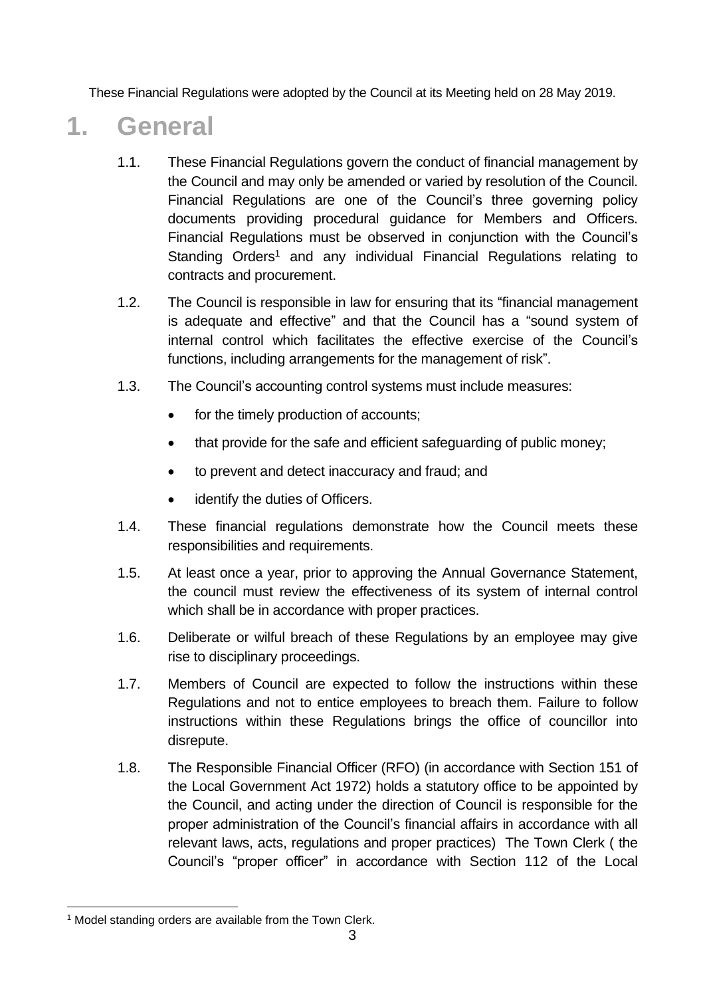These Financial Regulations were adopted by the Council at its Meeting held on 28 May 2019.

### **1. General**

- <span id="page-2-0"></span>1.1. These Financial Regulations govern the conduct of financial management by the Council and may only be amended or varied by resolution of the Council. Financial Regulations are one of the Council's three governing policy documents providing procedural guidance for Members and Officers. Financial Regulations must be observed in conjunction with the Council's Standing Orders<sup>1</sup> and any individual Financial Regulations relating to contracts and procurement.
- 1.2. The Council is responsible in law for ensuring that its "financial management is adequate and effective" and that the Council has a "sound system of internal control which facilitates the effective exercise of the Council's functions, including arrangements for the management of risk".
- 1.3. The Council's accounting control systems must include measures:
	- for the timely production of accounts;
	- that provide for the safe and efficient safeguarding of public money;
	- to prevent and detect inaccuracy and fraud; and
	- identify the duties of Officers.
- 1.4. These financial regulations demonstrate how the Council meets these responsibilities and requirements.
- 1.5. At least once a year, prior to approving the Annual Governance Statement, the council must review the effectiveness of its system of internal control which shall be in accordance with proper practices.
- 1.6. Deliberate or wilful breach of these Regulations by an employee may give rise to disciplinary proceedings.
- 1.7. Members of Council are expected to follow the instructions within these Regulations and not to entice employees to breach them. Failure to follow instructions within these Regulations brings the office of councillor into disrepute.
- 1.8. The Responsible Financial Officer (RFO) (in accordance with Section 151 of the Local Government Act 1972) holds a statutory office to be appointed by the Council, and acting under the direction of Council is responsible for the proper administration of the Council's financial affairs in accordance with all relevant laws, acts, regulations and proper practices) The Town Clerk ( the Council's "proper officer" in accordance with Section 112 of the Local

<sup>&</sup>lt;sup>1</sup> Model standing orders are available from the Town Clerk.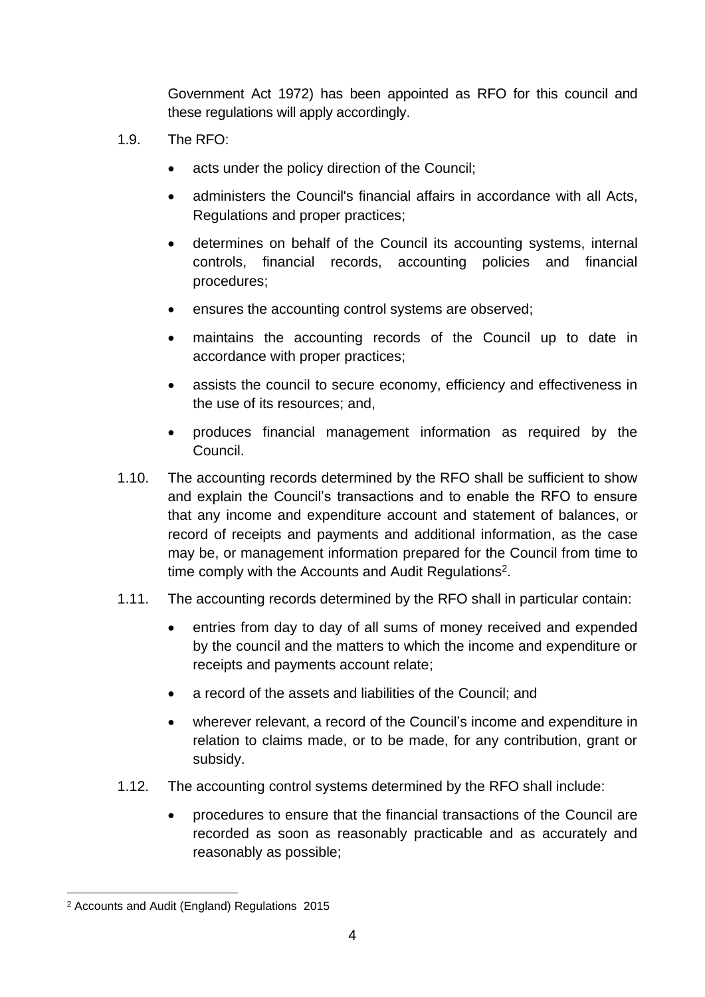Government Act 1972) has been appointed as RFO for this council and these regulations will apply accordingly.

- 1.9. The RFO:
	- acts under the policy direction of the Council;
	- administers the Council's financial affairs in accordance with all Acts, Regulations and proper practices;
	- determines on behalf of the Council its accounting systems, internal controls, financial records, accounting policies and financial procedures;
	- ensures the accounting control systems are observed;
	- maintains the accounting records of the Council up to date in accordance with proper practices;
	- assists the council to secure economy, efficiency and effectiveness in the use of its resources; and,
	- produces financial management information as required by the Council.
- 1.10. The accounting records determined by the RFO shall be sufficient to show and explain the Council's transactions and to enable the RFO to ensure that any income and expenditure account and statement of balances, or record of receipts and payments and additional information, as the case may be, or management information prepared for the Council from time to time comply with the Accounts and Audit Regulations<sup>2</sup>.
- 1.11. The accounting records determined by the RFO shall in particular contain:
	- entries from day to day of all sums of money received and expended by the council and the matters to which the income and expenditure or receipts and payments account relate;
	- a record of the assets and liabilities of the Council; and
	- wherever relevant, a record of the Council's income and expenditure in relation to claims made, or to be made, for any contribution, grant or subsidy.
- 1.12. The accounting control systems determined by the RFO shall include:
	- procedures to ensure that the financial transactions of the Council are recorded as soon as reasonably practicable and as accurately and reasonably as possible;

<sup>2</sup> Accounts and Audit (England) Regulations 2015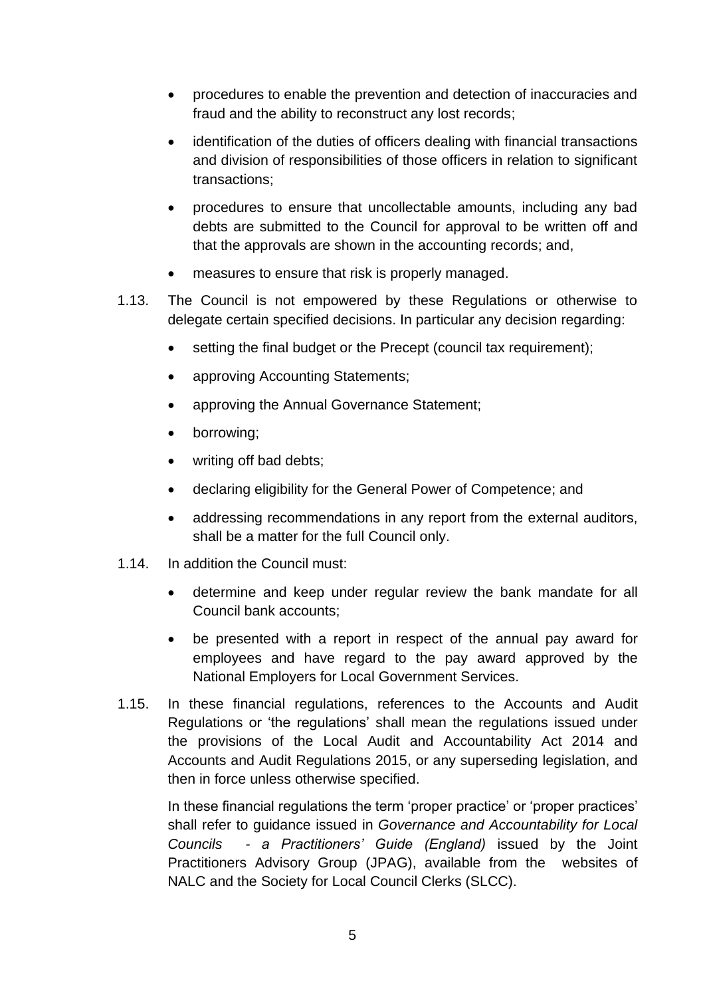- procedures to enable the prevention and detection of inaccuracies and fraud and the ability to reconstruct any lost records;
- identification of the duties of officers dealing with financial transactions and division of responsibilities of those officers in relation to significant transactions;
- procedures to ensure that uncollectable amounts, including any bad debts are submitted to the Council for approval to be written off and that the approvals are shown in the accounting records; and,
- measures to ensure that risk is properly managed.
- 1.13. The Council is not empowered by these Regulations or otherwise to delegate certain specified decisions. In particular any decision regarding:
	- setting the final budget or the Precept (council tax requirement);
	- approving Accounting Statements;
	- approving the Annual Governance Statement;
	- borrowing;
	- writing off bad debts;
	- declaring eligibility for the General Power of Competence; and
	- addressing recommendations in any report from the external auditors, shall be a matter for the full Council only.
- 1.14. In addition the Council must:
	- determine and keep under regular review the bank mandate for all Council bank accounts;
	- be presented with a report in respect of the annual pay award for employees and have regard to the pay award approved by the National Employers for Local Government Services.
- 1.15. In these financial regulations, references to the Accounts and Audit Regulations or 'the regulations' shall mean the regulations issued under the provisions of the Local Audit and Accountability Act 2014 and Accounts and Audit Regulations 2015, or any superseding legislation, and then in force unless otherwise specified.

In these financial regulations the term 'proper practice' or 'proper practices' shall refer to guidance issued in *Governance and Accountability for Local Councils - a Practitioners' Guide (England)* issued by the Joint Practitioners Advisory Group (JPAG), available from the websites of NALC and the Society for Local Council Clerks (SLCC).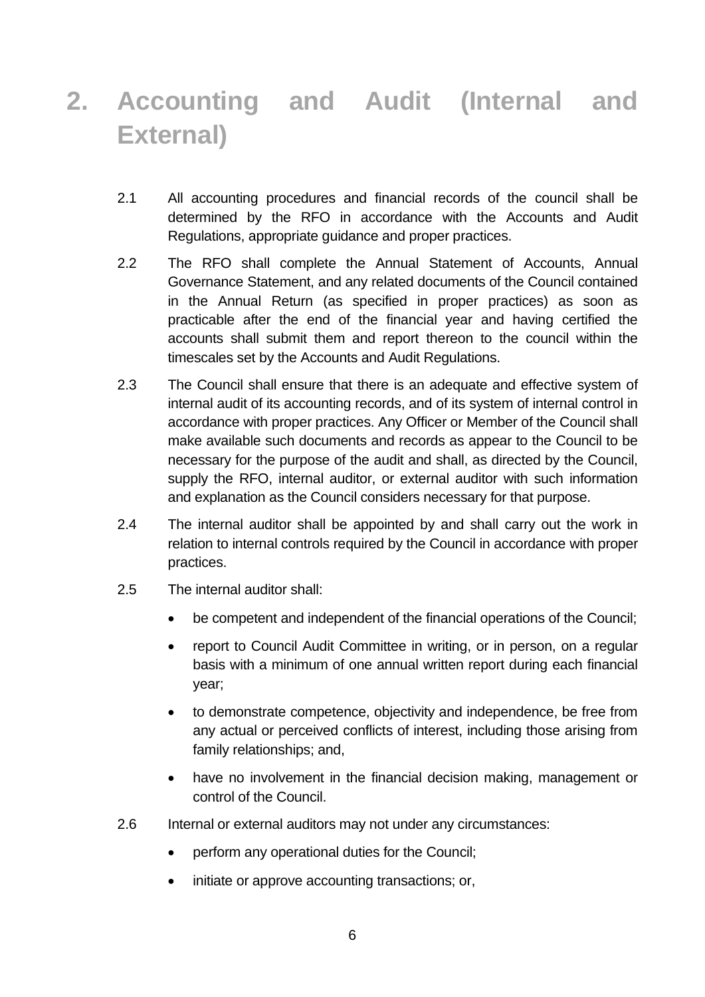# <span id="page-5-0"></span>**2. Accounting and Audit (Internal and External)**

- 2.1 All accounting procedures and financial records of the council shall be determined by the RFO in accordance with the Accounts and Audit Regulations, appropriate guidance and proper practices.
- 2.2 The RFO shall complete the Annual Statement of Accounts, Annual Governance Statement, and any related documents of the Council contained in the Annual Return (as specified in proper practices) as soon as practicable after the end of the financial year and having certified the accounts shall submit them and report thereon to the council within the timescales set by the Accounts and Audit Regulations.
- 2.3 The Council shall ensure that there is an adequate and effective system of internal audit of its accounting records, and of its system of internal control in accordance with proper practices. Any Officer or Member of the Council shall make available such documents and records as appear to the Council to be necessary for the purpose of the audit and shall, as directed by the Council, supply the RFO, internal auditor, or external auditor with such information and explanation as the Council considers necessary for that purpose.
- 2.4 The internal auditor shall be appointed by and shall carry out the work in relation to internal controls required by the Council in accordance with proper practices.
- 2.5 The internal auditor shall:
	- be competent and independent of the financial operations of the Council;
	- report to Council Audit Committee in writing, or in person, on a regular basis with a minimum of one annual written report during each financial year;
	- to demonstrate competence, objectivity and independence, be free from any actual or perceived conflicts of interest, including those arising from family relationships; and,
	- have no involvement in the financial decision making, management or control of the Council.
- 2.6 Internal or external auditors may not under any circumstances:
	- perform any operational duties for the Council;
	- initiate or approve accounting transactions; or,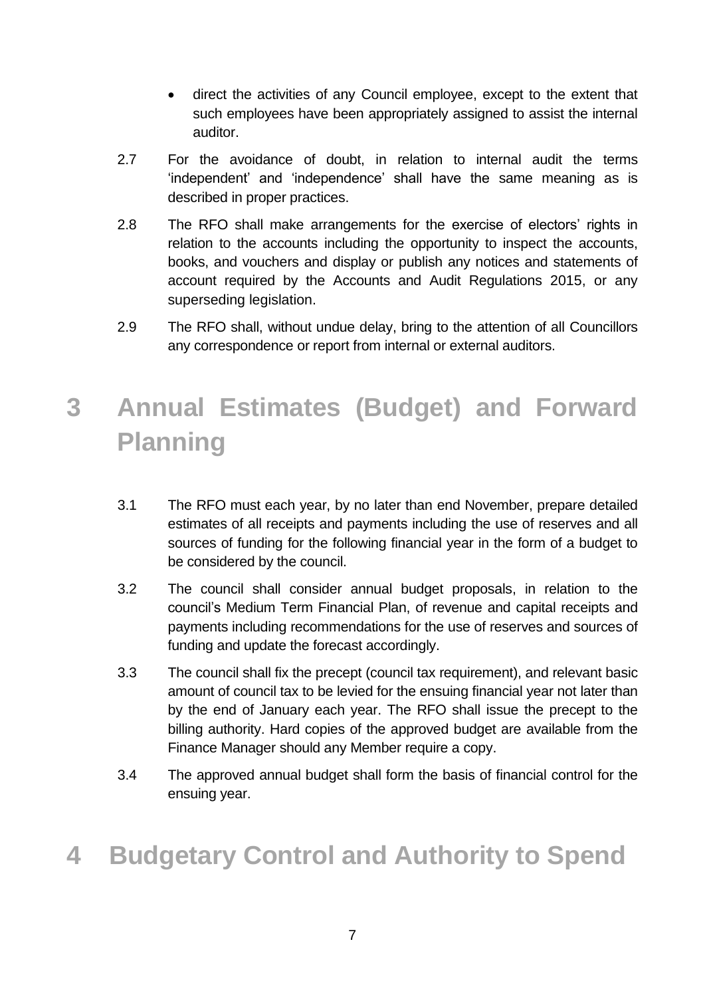- direct the activities of any Council employee, except to the extent that such employees have been appropriately assigned to assist the internal auditor.
- 2.7 For the avoidance of doubt, in relation to internal audit the terms 'independent' and 'independence' shall have the same meaning as is described in proper practices.
- 2.8 The RFO shall make arrangements for the exercise of electors' rights in relation to the accounts including the opportunity to inspect the accounts, books, and vouchers and display or publish any notices and statements of account required by the Accounts and Audit Regulations 2015, or any superseding legislation.
- 2.9 The RFO shall, without undue delay, bring to the attention of all Councillors any correspondence or report from internal or external auditors.

# <span id="page-6-0"></span>**3 Annual Estimates (Budget) and Forward Planning**

- 3.1 The RFO must each year, by no later than end November, prepare detailed estimates of all receipts and payments including the use of reserves and all sources of funding for the following financial year in the form of a budget to be considered by the council.
- 3.2 The council shall consider annual budget proposals, in relation to the council's Medium Term Financial Plan, of revenue and capital receipts and payments including recommendations for the use of reserves and sources of funding and update the forecast accordingly.
- 3.3 The council shall fix the precept (council tax requirement), and relevant basic amount of council tax to be levied for the ensuing financial year not later than by the end of January each year. The RFO shall issue the precept to the billing authority. Hard copies of the approved budget are available from the Finance Manager should any Member require a copy.
- 3.4 The approved annual budget shall form the basis of financial control for the ensuing year.

## <span id="page-6-1"></span>**4 Budgetary Control and Authority to Spend**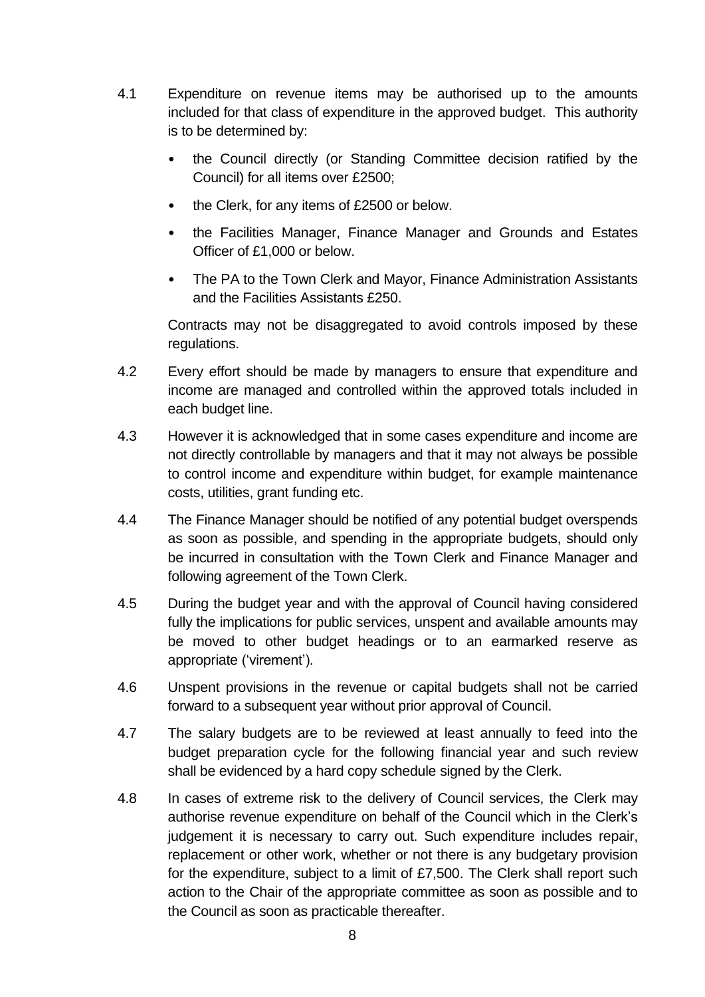- 4.1 Expenditure on revenue items may be authorised up to the amounts included for that class of expenditure in the approved budget. This authority is to be determined by:
	- the Council directly (or Standing Committee decision ratified by the Council) for all items over £2500;
	- the Clerk, for any items of £2500 or below.
	- the Facilities Manager, Finance Manager and Grounds and Estates Officer of £1,000 or below.
	- The PA to the Town Clerk and Mayor, Finance Administration Assistants and the Facilities Assistants £250.

Contracts may not be disaggregated to avoid controls imposed by these regulations.

- 4.2 Every effort should be made by managers to ensure that expenditure and income are managed and controlled within the approved totals included in each budget line.
- 4.3 However it is acknowledged that in some cases expenditure and income are not directly controllable by managers and that it may not always be possible to control income and expenditure within budget, for example maintenance costs, utilities, grant funding etc.
- 4.4 The Finance Manager should be notified of any potential budget overspends as soon as possible, and spending in the appropriate budgets, should only be incurred in consultation with the Town Clerk and Finance Manager and following agreement of the Town Clerk.
- 4.5 During the budget year and with the approval of Council having considered fully the implications for public services, unspent and available amounts may be moved to other budget headings or to an earmarked reserve as appropriate ('virement').
- 4.6 Unspent provisions in the revenue or capital budgets shall not be carried forward to a subsequent year without prior approval of Council.
- 4.7 The salary budgets are to be reviewed at least annually to feed into the budget preparation cycle for the following financial year and such review shall be evidenced by a hard copy schedule signed by the Clerk.
- 4.8 In cases of extreme risk to the delivery of Council services, the Clerk may authorise revenue expenditure on behalf of the Council which in the Clerk's judgement it is necessary to carry out. Such expenditure includes repair, replacement or other work, whether or not there is any budgetary provision for the expenditure, subject to a limit of £7,500. The Clerk shall report such action to the Chair of the appropriate committee as soon as possible and to the Council as soon as practicable thereafter.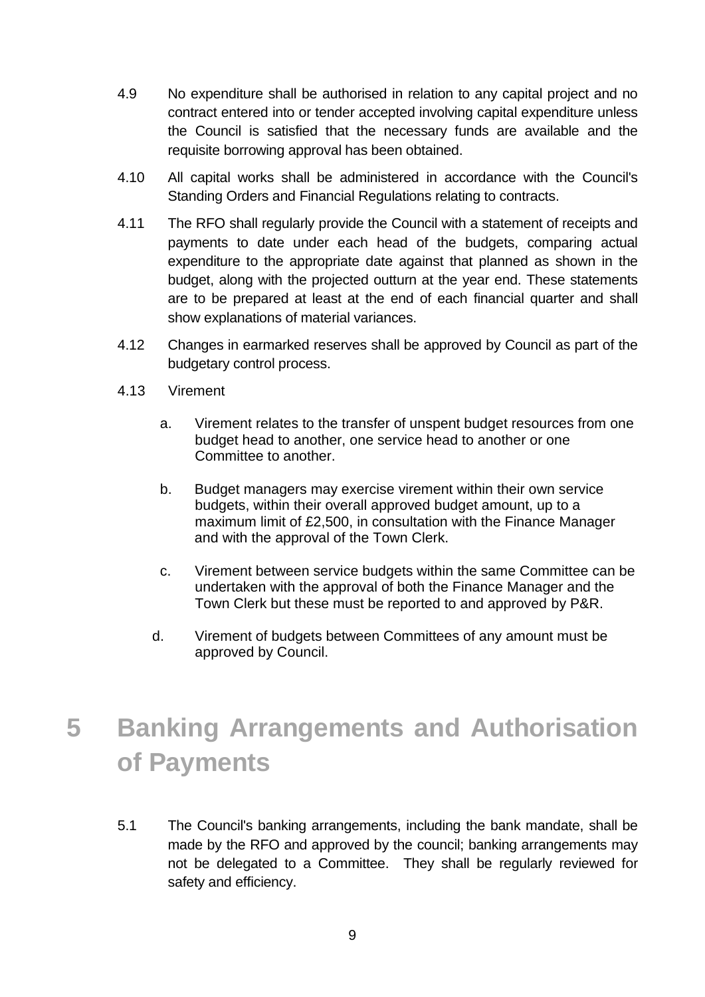- 4.9 No expenditure shall be authorised in relation to any capital project and no contract entered into or tender accepted involving capital expenditure unless the Council is satisfied that the necessary funds are available and the requisite borrowing approval has been obtained.
- 4.10 All capital works shall be administered in accordance with the Council's Standing Orders and Financial Regulations relating to contracts.
- 4.11 The RFO shall regularly provide the Council with a statement of receipts and payments to date under each head of the budgets, comparing actual expenditure to the appropriate date against that planned as shown in the budget, along with the projected outturn at the year end. These statements are to be prepared at least at the end of each financial quarter and shall show explanations of material variances.
- 4.12 Changes in earmarked reserves shall be approved by Council as part of the budgetary control process.
- 4.13 Virement
	- a. Virement relates to the transfer of unspent budget resources from one budget head to another, one service head to another or one Committee to another.
	- b. Budget managers may exercise virement within their own service budgets, within their overall approved budget amount, up to a maximum limit of £2,500, in consultation with the Finance Manager and with the approval of the Town Clerk.
	- c. Virement between service budgets within the same Committee can be undertaken with the approval of both the Finance Manager and the Town Clerk but these must be reported to and approved by P&R.
	- d. Virement of budgets between Committees of any amount must be approved by Council.

# <span id="page-8-0"></span>**5 Banking Arrangements and Authorisation of Payments**

5.1 The Council's banking arrangements, including the bank mandate, shall be made by the RFO and approved by the council; banking arrangements may not be delegated to a Committee. They shall be regularly reviewed for safety and efficiency.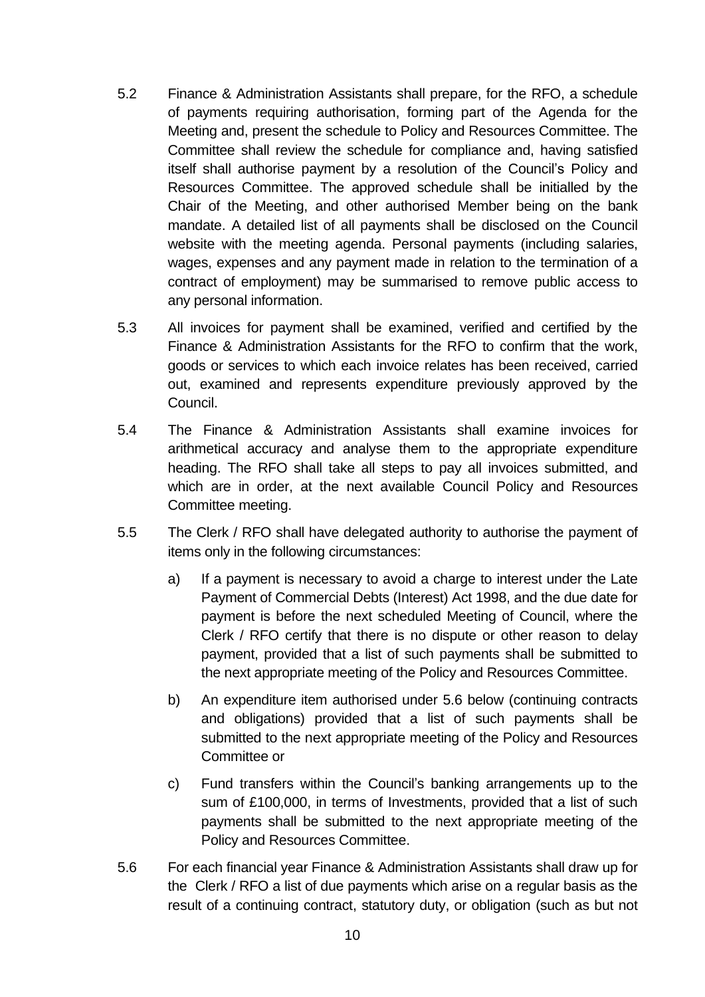- 5.2 Finance & Administration Assistants shall prepare, for the RFO, a schedule of payments requiring authorisation, forming part of the Agenda for the Meeting and, present the schedule to Policy and Resources Committee. The Committee shall review the schedule for compliance and, having satisfied itself shall authorise payment by a resolution of the Council's Policy and Resources Committee. The approved schedule shall be initialled by the Chair of the Meeting, and other authorised Member being on the bank mandate. A detailed list of all payments shall be disclosed on the Council website with the meeting agenda. Personal payments (including salaries, wages, expenses and any payment made in relation to the termination of a contract of employment) may be summarised to remove public access to any personal information.
- 5.3 All invoices for payment shall be examined, verified and certified by the Finance & Administration Assistants for the RFO to confirm that the work, goods or services to which each invoice relates has been received, carried out, examined and represents expenditure previously approved by the Council.
- 5.4 The Finance & Administration Assistants shall examine invoices for arithmetical accuracy and analyse them to the appropriate expenditure heading. The RFO shall take all steps to pay all invoices submitted, and which are in order, at the next available Council Policy and Resources Committee meeting.
- 5.5 The Clerk / RFO shall have delegated authority to authorise the payment of items only in the following circumstances:
	- a) If a payment is necessary to avoid a charge to interest under the Late Payment of Commercial Debts (Interest) Act 1998, and the due date for payment is before the next scheduled Meeting of Council, where the Clerk / RFO certify that there is no dispute or other reason to delay payment, provided that a list of such payments shall be submitted to the next appropriate meeting of the Policy and Resources Committee.
	- b) An expenditure item authorised under 5.6 below (continuing contracts and obligations) provided that a list of such payments shall be submitted to the next appropriate meeting of the Policy and Resources Committee or
	- c) Fund transfers within the Council's banking arrangements up to the sum of £100,000, in terms of Investments, provided that a list of such payments shall be submitted to the next appropriate meeting of the Policy and Resources Committee.
- 5.6 For each financial year Finance & Administration Assistants shall draw up for the Clerk / RFO a list of due payments which arise on a regular basis as the result of a continuing contract, statutory duty, or obligation (such as but not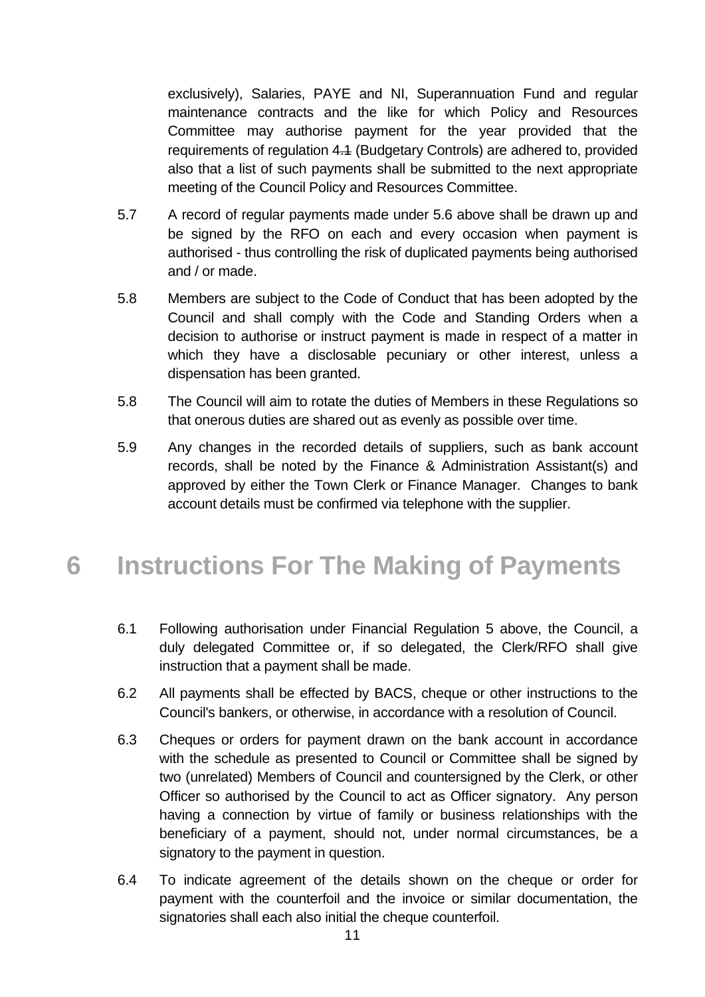exclusively), Salaries, PAYE and NI, Superannuation Fund and regular maintenance contracts and the like for which Policy and Resources Committee may authorise payment for the year provided that the requirements of regulation 4.1 (Budgetary Controls) are adhered to, provided also that a list of such payments shall be submitted to the next appropriate meeting of the Council Policy and Resources Committee.

- 5.7 A record of regular payments made under 5.6 above shall be drawn up and be signed by the RFO on each and every occasion when payment is authorised - thus controlling the risk of duplicated payments being authorised and / or made.
- 5.8 Members are subject to the Code of Conduct that has been adopted by the Council and shall comply with the Code and Standing Orders when a decision to authorise or instruct payment is made in respect of a matter in which they have a disclosable pecuniary or other interest, unless a dispensation has been granted.
- 5.8 The Council will aim to rotate the duties of Members in these Regulations so that onerous duties are shared out as evenly as possible over time.
- 5.9 Any changes in the recorded details of suppliers, such as bank account records, shall be noted by the Finance & Administration Assistant(s) and approved by either the Town Clerk or Finance Manager. Changes to bank account details must be confirmed via telephone with the supplier.

### <span id="page-10-0"></span>**6 Instructions For The Making of Payments**

- 6.1 Following authorisation under Financial Regulation 5 above, the Council, a duly delegated Committee or, if so delegated, the Clerk/RFO shall give instruction that a payment shall be made.
- 6.2 All payments shall be effected by BACS, cheque or other instructions to the Council's bankers, or otherwise, in accordance with a resolution of Council.
- 6.3 Cheques or orders for payment drawn on the bank account in accordance with the schedule as presented to Council or Committee shall be signed by two (unrelated) Members of Council and countersigned by the Clerk, or other Officer so authorised by the Council to act as Officer signatory. Any person having a connection by virtue of family or business relationships with the beneficiary of a payment, should not, under normal circumstances, be a signatory to the payment in question.
- 6.4 To indicate agreement of the details shown on the cheque or order for payment with the counterfoil and the invoice or similar documentation, the signatories shall each also initial the cheque counterfoil.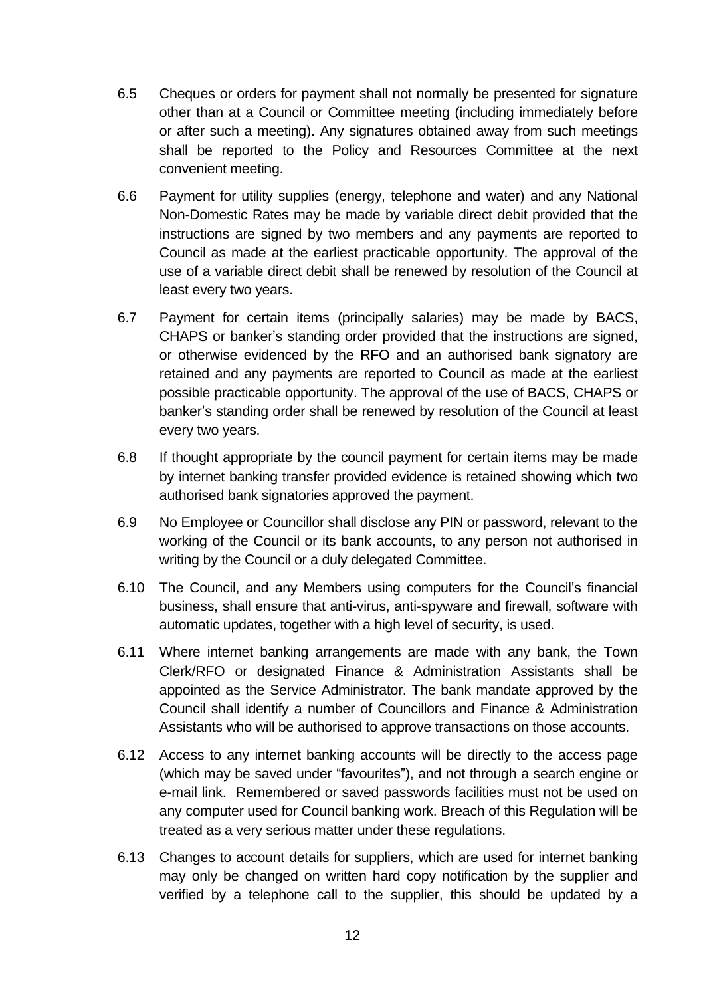- 6.5 Cheques or orders for payment shall not normally be presented for signature other than at a Council or Committee meeting (including immediately before or after such a meeting). Any signatures obtained away from such meetings shall be reported to the Policy and Resources Committee at the next convenient meeting.
- 6.6 Payment for utility supplies (energy, telephone and water) and any National Non-Domestic Rates may be made by variable direct debit provided that the instructions are signed by two members and any payments are reported to Council as made at the earliest practicable opportunity. The approval of the use of a variable direct debit shall be renewed by resolution of the Council at least every two years.
- 6.7 Payment for certain items (principally salaries) may be made by BACS, CHAPS or banker's standing order provided that the instructions are signed, or otherwise evidenced by the RFO and an authorised bank signatory are retained and any payments are reported to Council as made at the earliest possible practicable opportunity. The approval of the use of BACS, CHAPS or banker's standing order shall be renewed by resolution of the Council at least every two years.
- 6.8 If thought appropriate by the council payment for certain items may be made by internet banking transfer provided evidence is retained showing which two authorised bank signatories approved the payment.
- 6.9 No Employee or Councillor shall disclose any PIN or password, relevant to the working of the Council or its bank accounts, to any person not authorised in writing by the Council or a duly delegated Committee.
- 6.10 The Council, and any Members using computers for the Council's financial business, shall ensure that anti-virus, anti-spyware and firewall, software with automatic updates, together with a high level of security, is used.
- 6.11 Where internet banking arrangements are made with any bank, the Town Clerk/RFO or designated Finance & Administration Assistants shall be appointed as the Service Administrator. The bank mandate approved by the Council shall identify a number of Councillors and Finance & Administration Assistants who will be authorised to approve transactions on those accounts.
- 6.12 Access to any internet banking accounts will be directly to the access page (which may be saved under "favourites"), and not through a search engine or e-mail link. Remembered or saved passwords facilities must not be used on any computer used for Council banking work. Breach of this Regulation will be treated as a very serious matter under these regulations.
- 6.13 Changes to account details for suppliers, which are used for internet banking may only be changed on written hard copy notification by the supplier and verified by a telephone call to the supplier, this should be updated by a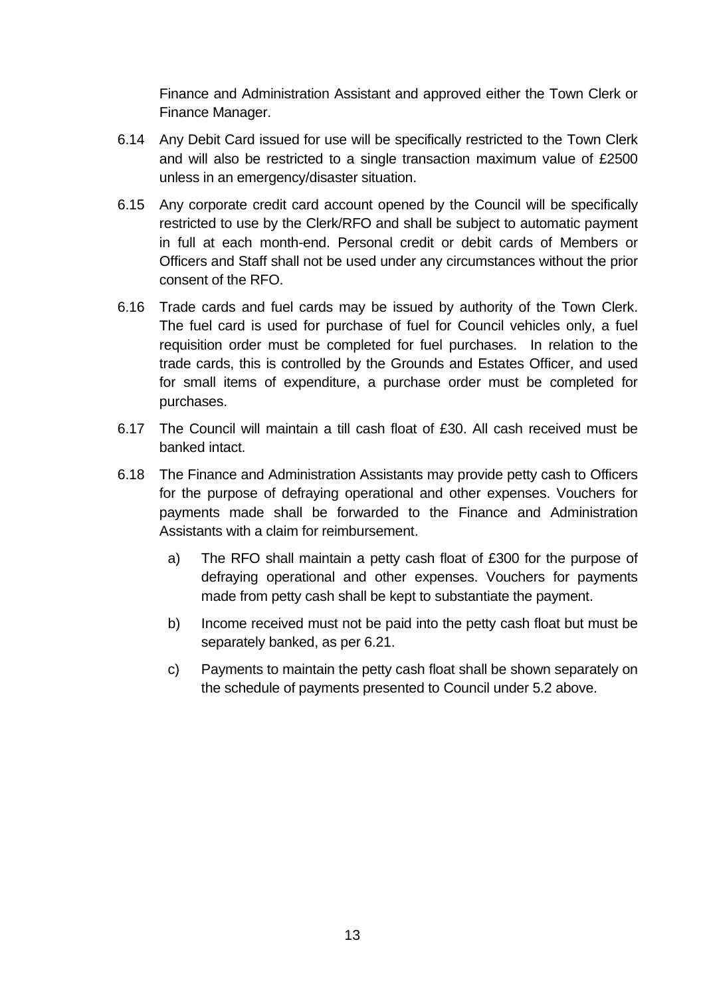Finance and Administration Assistant and approved either the Town Clerk or Finance Manager.

- 6.14 Any Debit Card issued for use will be specifically restricted to the Town Clerk and will also be restricted to a single transaction maximum value of £2500 unless in an emergency/disaster situation.
- 6.15 Any corporate credit card account opened by the Council will be specifically restricted to use by the Clerk/RFO and shall be subject to automatic payment in full at each month-end. Personal credit or debit cards of Members or Officers and Staff shall not be used under any circumstances without the prior consent of the RFO.
- 6.16 Trade cards and fuel cards may be issued by authority of the Town Clerk. The fuel card is used for purchase of fuel for Council vehicles only, a fuel requisition order must be completed for fuel purchases. In relation to the trade cards, this is controlled by the Grounds and Estates Officer, and used for small items of expenditure, a purchase order must be completed for purchases.
- 6.17 The Council will maintain a till cash float of £30. All cash received must be banked intact.
- 6.18 The Finance and Administration Assistants may provide petty cash to Officers for the purpose of defraying operational and other expenses. Vouchers for payments made shall be forwarded to the Finance and Administration Assistants with a claim for reimbursement.
	- a) The RFO shall maintain a petty cash float of £300 for the purpose of defraying operational and other expenses. Vouchers for payments made from petty cash shall be kept to substantiate the payment.
	- b) Income received must not be paid into the petty cash float but must be separately banked, as per 6.21.
	- c) Payments to maintain the petty cash float shall be shown separately on the schedule of payments presented to Council under 5.2 above.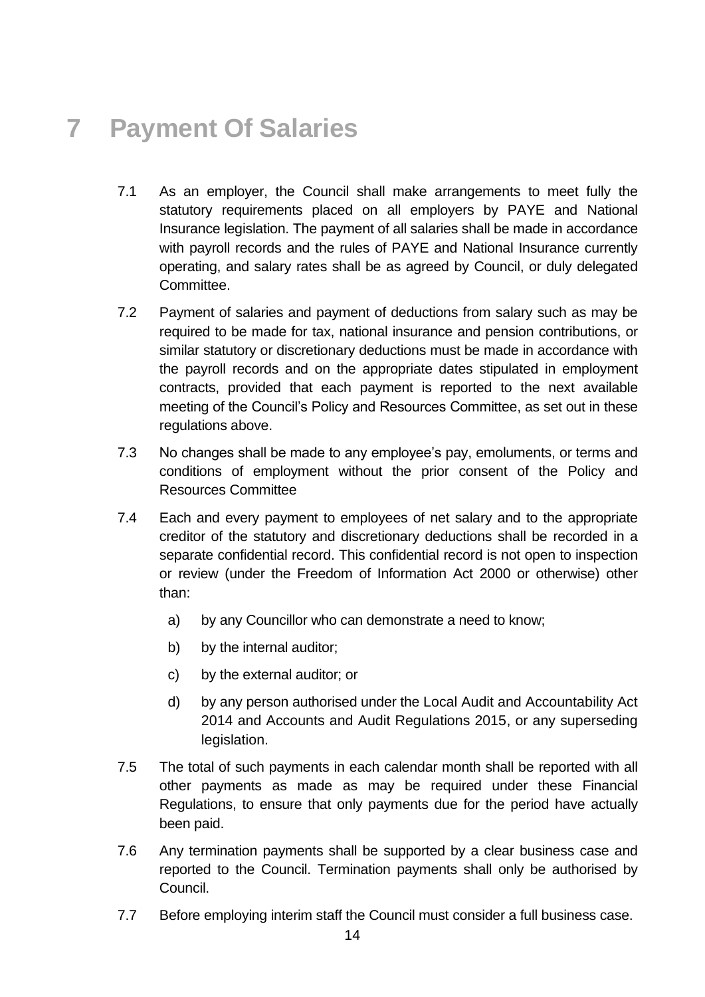# <span id="page-13-0"></span>**7 Payment Of Salaries**

- 7.1 As an employer, the Council shall make arrangements to meet fully the statutory requirements placed on all employers by PAYE and National Insurance legislation. The payment of all salaries shall be made in accordance with payroll records and the rules of PAYE and National Insurance currently operating, and salary rates shall be as agreed by Council, or duly delegated Committee.
- 7.2 Payment of salaries and payment of deductions from salary such as may be required to be made for tax, national insurance and pension contributions, or similar statutory or discretionary deductions must be made in accordance with the payroll records and on the appropriate dates stipulated in employment contracts, provided that each payment is reported to the next available meeting of the Council's Policy and Resources Committee, as set out in these regulations above.
- 7.3 No changes shall be made to any employee's pay, emoluments, or terms and conditions of employment without the prior consent of the Policy and Resources Committee
- 7.4 Each and every payment to employees of net salary and to the appropriate creditor of the statutory and discretionary deductions shall be recorded in a separate confidential record. This confidential record is not open to inspection or review (under the Freedom of Information Act 2000 or otherwise) other than:
	- a) by any Councillor who can demonstrate a need to know;
	- b) by the internal auditor;
	- c) by the external auditor; or
	- d) by any person authorised under the Local Audit and Accountability Act 2014 and Accounts and Audit Regulations 2015, or any superseding legislation.
- 7.5 The total of such payments in each calendar month shall be reported with all other payments as made as may be required under these Financial Regulations, to ensure that only payments due for the period have actually been paid.
- 7.6 Any termination payments shall be supported by a clear business case and reported to the Council. Termination payments shall only be authorised by Council.
- 7.7 Before employing interim staff the Council must consider a full business case.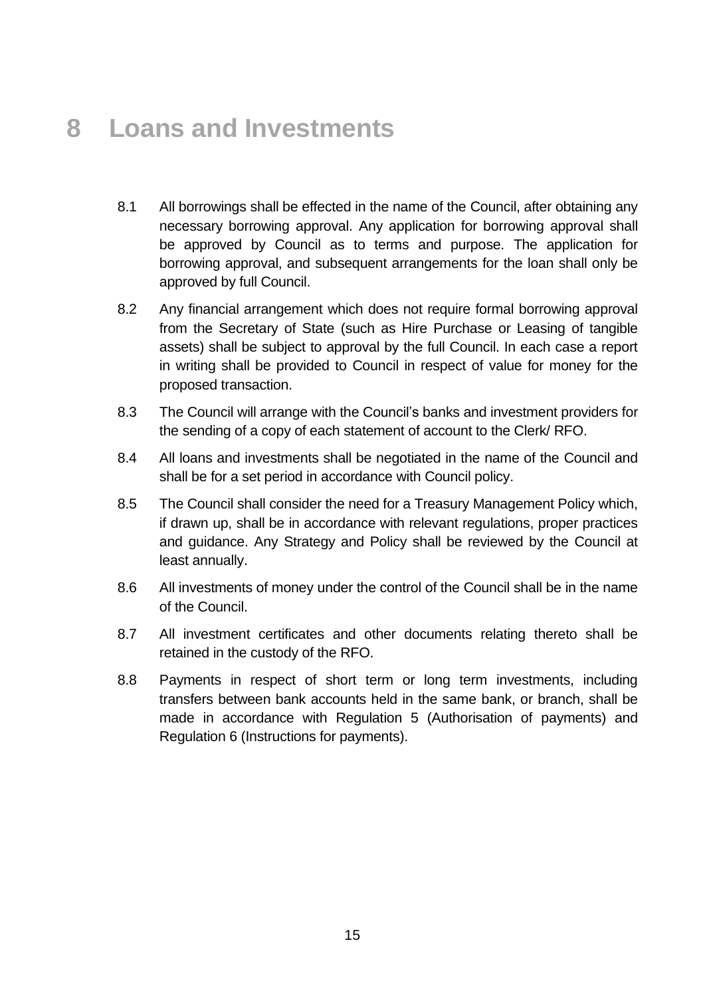### <span id="page-14-0"></span>**8 Loans and Investments**

- 8.1 All borrowings shall be effected in the name of the Council, after obtaining any necessary borrowing approval. Any application for borrowing approval shall be approved by Council as to terms and purpose. The application for borrowing approval, and subsequent arrangements for the loan shall only be approved by full Council.
- 8.2 Any financial arrangement which does not require formal borrowing approval from the Secretary of State (such as Hire Purchase or Leasing of tangible assets) shall be subject to approval by the full Council. In each case a report in writing shall be provided to Council in respect of value for money for the proposed transaction.
- 8.3 The Council will arrange with the Council's banks and investment providers for the sending of a copy of each statement of account to the Clerk/ RFO.
- 8.4 All loans and investments shall be negotiated in the name of the Council and shall be for a set period in accordance with Council policy.
- 8.5 The Council shall consider the need for a Treasury Management Policy which, if drawn up, shall be in accordance with relevant regulations, proper practices and guidance. Any Strategy and Policy shall be reviewed by the Council at least annually.
- 8.6 All investments of money under the control of the Council shall be in the name of the Council.
- 8.7 All investment certificates and other documents relating thereto shall be retained in the custody of the RFO.
- <span id="page-14-1"></span>8.8 Payments in respect of short term or long term investments, including transfers between bank accounts held in the same bank, or branch, shall be made in accordance with Regulation 5 (Authorisation of payments) and Regulation 6 (Instructions for payments).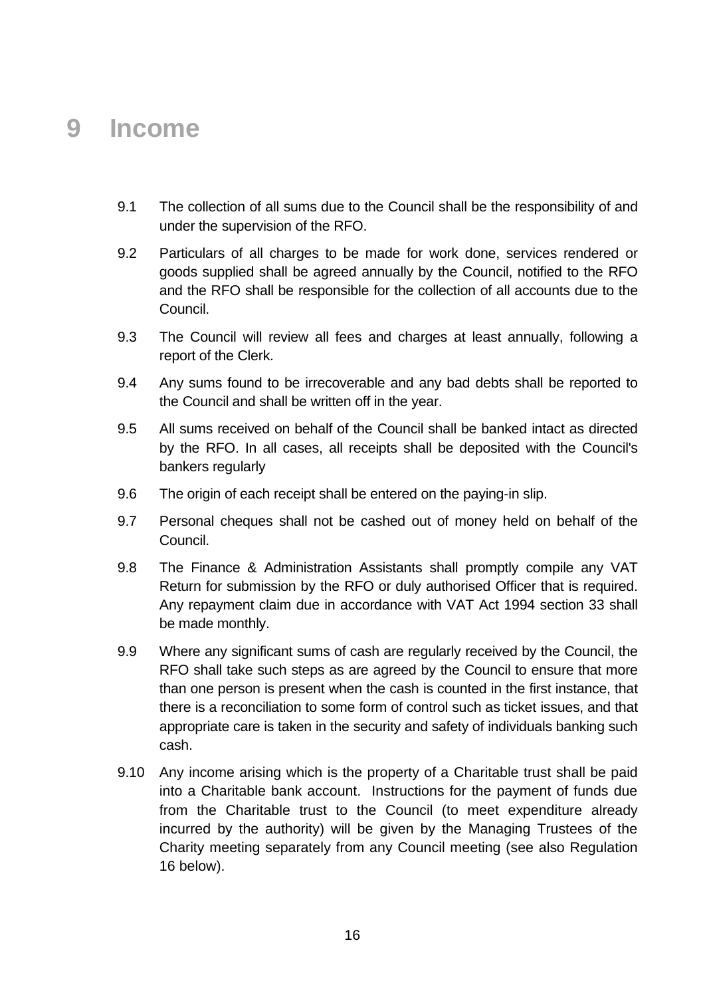#### **9 Income**

- 9.1 The collection of all sums due to the Council shall be the responsibility of and under the supervision of the RFO.
- 9.2 Particulars of all charges to be made for work done, services rendered or goods supplied shall be agreed annually by the Council, notified to the RFO and the RFO shall be responsible for the collection of all accounts due to the Council.
- 9.3 The Council will review all fees and charges at least annually, following a report of the Clerk.
- 9.4 Any sums found to be irrecoverable and any bad debts shall be reported to the Council and shall be written off in the year.
- 9.5 All sums received on behalf of the Council shall be banked intact as directed by the RFO. In all cases, all receipts shall be deposited with the Council's bankers regularly
- 9.6 The origin of each receipt shall be entered on the paying-in slip.
- 9.7 Personal cheques shall not be cashed out of money held on behalf of the Council.
- 9.8 The Finance & Administration Assistants shall promptly compile any VAT Return for submission by the RFO or duly authorised Officer that is required. Any repayment claim due in accordance with VAT Act 1994 section 33 shall be made monthly.
- 9.9 Where any significant sums of cash are regularly received by the Council, the RFO shall take such steps as are agreed by the Council to ensure that more than one person is present when the cash is counted in the first instance, that there is a reconciliation to some form of control such as ticket issues, and that appropriate care is taken in the security and safety of individuals banking such cash.
- 9.10 Any income arising which is the property of a Charitable trust shall be paid into a Charitable bank account. Instructions for the payment of funds due from the Charitable trust to the Council (to meet expenditure already incurred by the authority) will be given by the Managing Trustees of the Charity meeting separately from any Council meeting (see also Regulation 16 below).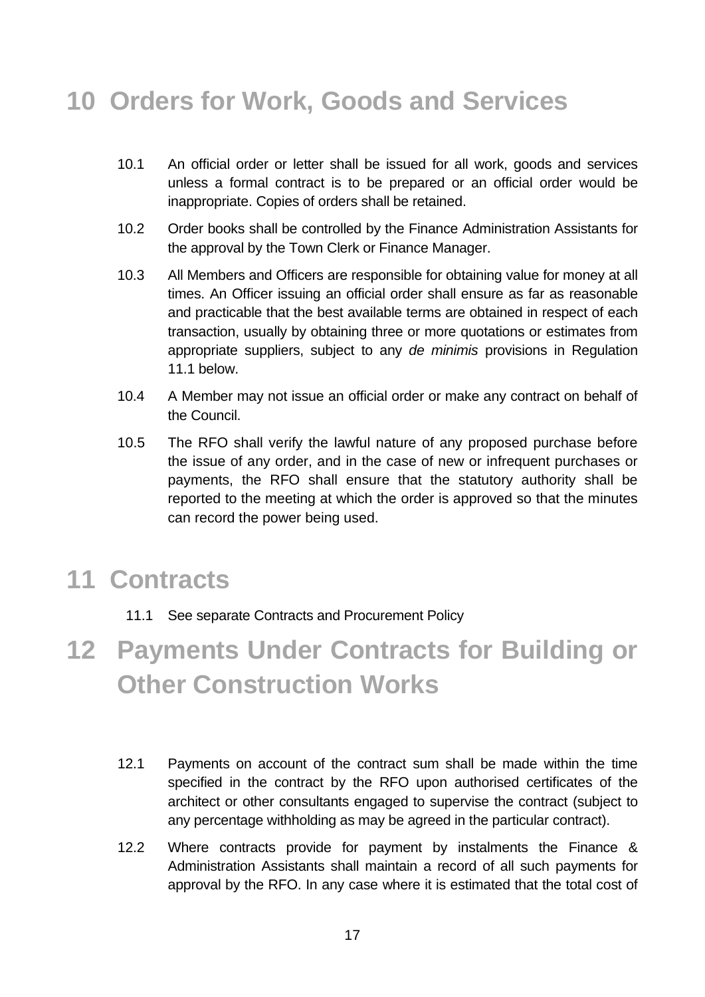# <span id="page-16-0"></span>**10 Orders for Work, Goods and Services**

- 10.1 An official order or letter shall be issued for all work, goods and services unless a formal contract is to be prepared or an official order would be inappropriate. Copies of orders shall be retained.
- 10.2 Order books shall be controlled by the Finance Administration Assistants for the approval by the Town Clerk or Finance Manager.
- 10.3 All Members and Officers are responsible for obtaining value for money at all times. An Officer issuing an official order shall ensure as far as reasonable and practicable that the best available terms are obtained in respect of each transaction, usually by obtaining three or more quotations or estimates from appropriate suppliers, subject to any *de minimis* provisions in Regulation 11.1 below.
- 10.4 A Member may not issue an official order or make any contract on behalf of the Council.
- 10.5 The RFO shall verify the lawful nature of any proposed purchase before the issue of any order, and in the case of new or infrequent purchases or payments, the RFO shall ensure that the statutory authority shall be reported to the meeting at which the order is approved so that the minutes can record the power being used.

### <span id="page-16-1"></span>**11 Contracts**

11.1 See separate Contracts and Procurement Policy

# <span id="page-16-2"></span>**12 Payments Under Contracts for Building or Other Construction Works**

- 12.1 Payments on account of the contract sum shall be made within the time specified in the contract by the RFO upon authorised certificates of the architect or other consultants engaged to supervise the contract (subject to any percentage withholding as may be agreed in the particular contract).
- 12.2 Where contracts provide for payment by instalments the Finance & Administration Assistants shall maintain a record of all such payments for approval by the RFO. In any case where it is estimated that the total cost of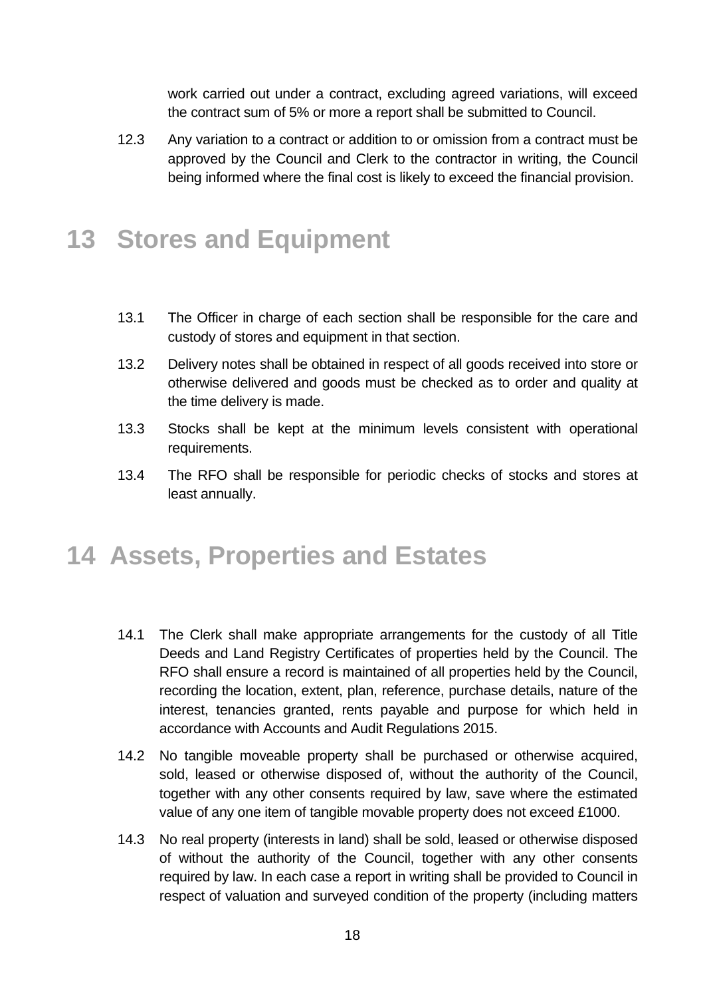work carried out under a contract, excluding agreed variations, will exceed the contract sum of 5% or more a report shall be submitted to Council.

12.3 Any variation to a contract or addition to or omission from a contract must be approved by the Council and Clerk to the contractor in writing, the Council being informed where the final cost is likely to exceed the financial provision.

### <span id="page-17-0"></span>**13 Stores and Equipment**

- 13.1 The Officer in charge of each section shall be responsible for the care and custody of stores and equipment in that section.
- 13.2 Delivery notes shall be obtained in respect of all goods received into store or otherwise delivered and goods must be checked as to order and quality at the time delivery is made.
- 13.3 Stocks shall be kept at the minimum levels consistent with operational requirements.
- 13.4 The RFO shall be responsible for periodic checks of stocks and stores at least annually.

### <span id="page-17-1"></span>**14 Assets, Properties and Estates**

- 14.1 The Clerk shall make appropriate arrangements for the custody of all Title Deeds and Land Registry Certificates of properties held by the Council. The RFO shall ensure a record is maintained of all properties held by the Council, recording the location, extent, plan, reference, purchase details, nature of the interest, tenancies granted, rents payable and purpose for which held in accordance with Accounts and Audit Regulations 2015.
- 14.2 No tangible moveable property shall be purchased or otherwise acquired, sold, leased or otherwise disposed of, without the authority of the Council, together with any other consents required by law, save where the estimated value of any one item of tangible movable property does not exceed £1000.
- 14.3 No real property (interests in land) shall be sold, leased or otherwise disposed of without the authority of the Council, together with any other consents required by law. In each case a report in writing shall be provided to Council in respect of valuation and surveyed condition of the property (including matters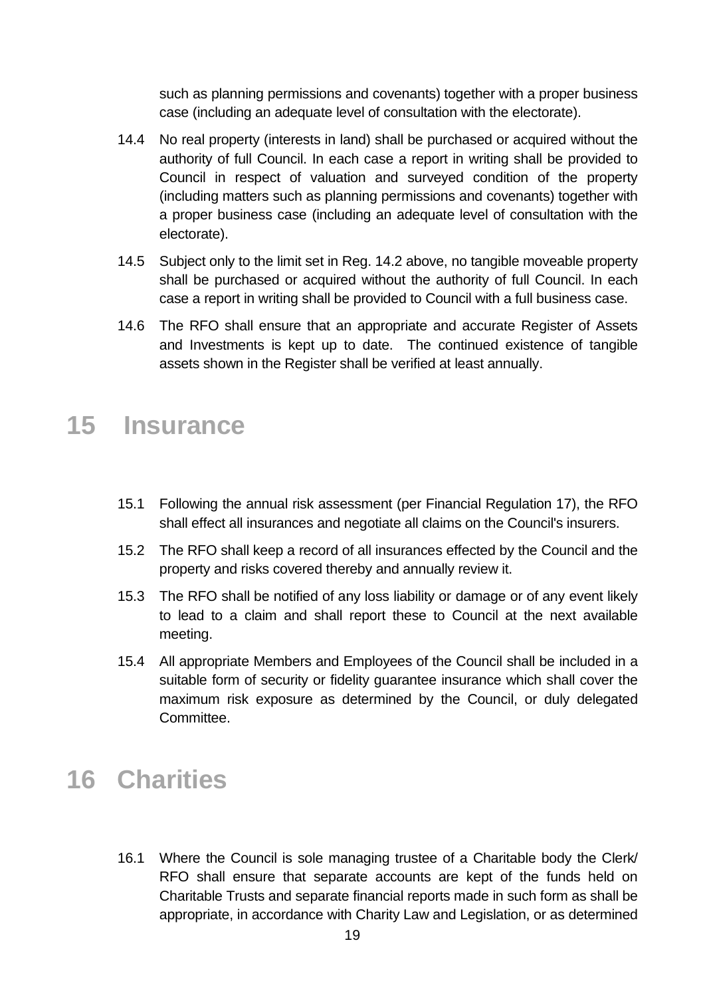such as planning permissions and covenants) together with a proper business case (including an adequate level of consultation with the electorate).

- 14.4 No real property (interests in land) shall be purchased or acquired without the authority of full Council. In each case a report in writing shall be provided to Council in respect of valuation and surveyed condition of the property (including matters such as planning permissions and covenants) together with a proper business case (including an adequate level of consultation with the electorate).
- 14.5 Subject only to the limit set in Reg. 14.2 above, no tangible moveable property shall be purchased or acquired without the authority of full Council. In each case a report in writing shall be provided to Council with a full business case.
- 14.6 The RFO shall ensure that an appropriate and accurate Register of Assets and Investments is kept up to date. The continued existence of tangible assets shown in the Register shall be verified at least annually.

### <span id="page-18-0"></span>**15 Insurance**

- 15.1 Following the annual risk assessment (per Financial Regulation 17), the RFO shall effect all insurances and negotiate all claims on the Council's insurers.
- 15.2 The RFO shall keep a record of all insurances effected by the Council and the property and risks covered thereby and annually review it.
- 15.3 The RFO shall be notified of any loss liability or damage or of any event likely to lead to a claim and shall report these to Council at the next available meeting.
- 15.4 All appropriate Members and Employees of the Council shall be included in a suitable form of security or fidelity guarantee insurance which shall cover the maximum risk exposure as determined by the Council, or duly delegated Committee.

### <span id="page-18-1"></span>**16 Charities**

16.1 Where the Council is sole managing trustee of a Charitable body the Clerk/ RFO shall ensure that separate accounts are kept of the funds held on Charitable Trusts and separate financial reports made in such form as shall be appropriate, in accordance with Charity Law and Legislation, or as determined